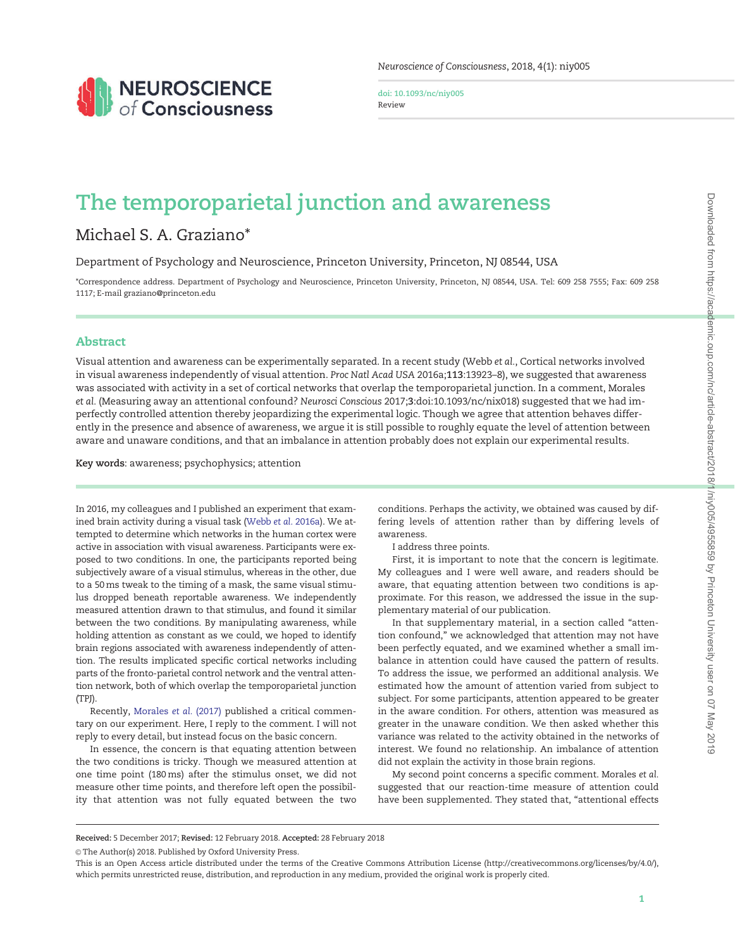

Neuroscience of Consciousness, 2018, 4(1): niy005

doi: 10.1093/nc/niy005 Review

# The temporoparietal junction and awareness

# Michael S. A. Graziano\*

Department of Psychology and Neuroscience, Princeton University, Princeton, NJ 08544, USA

\*Correspondence address. Department of Psychology and Neuroscience, Princeton University, Princeton, NJ 08544, USA. Tel: 609 258 7555; Fax: 609 258 1117; E-mail graziano@princeton.edu

## Abstract

Visual attention and awareness can be experimentally separated. In a recent study (Webb et al., Cortical networks involved in visual awareness independently of visual attention. Proc Natl Acad USA 2016a;113:13923–8), we suggested that awareness was associated with activity in a set of cortical networks that overlap the temporoparietal junction. In a comment, Morales et al. (Measuring away an attentional confound? Neurosci Conscious 2017;3:doi:10.1093/nc/nix018) suggested that we had imperfectly controlled attention thereby jeopardizing the experimental logic. Though we agree that attention behaves differently in the presence and absence of awareness, we argue it is still possible to roughly equate the level of attention between aware and unaware conditions, and that an imbalance in attention probably does not explain our experimental results.

Key words: awareness; psychophysics; attention

In 2016, my colleagues and I published an experiment that examined brain activity during a visual task [\(Webb](#page-2-0) et al. 2016a). We attempted to determine which networks in the human cortex were active in association with visual awareness. Participants were exposed to two conditions. In one, the participants reported being subjectively aware of a visual stimulus, whereas in the other, due to a 50 ms tweak to the timing of a mask, the same visual stimulus dropped beneath reportable awareness. We independently measured attention drawn to that stimulus, and found it similar between the two conditions. By manipulating awareness, while holding attention as constant as we could, we hoped to identify brain regions associated with awareness independently of attention. The results implicated specific cortical networks including parts of the fronto-parietal control network and the ventral attention network, both of which overlap the temporoparietal junction (TPJ).

Recently, [Morales](#page-1-0) et al. (2017) published a critical commentary on our experiment. Here, I reply to the comment. I will not reply to every detail, but instead focus on the basic concern.

In essence, the concern is that equating attention between the two conditions is tricky. Though we measured attention at one time point (180 ms) after the stimulus onset, we did not measure other time points, and therefore left open the possibility that attention was not fully equated between the two conditions. Perhaps the activity, we obtained was caused by differing levels of attention rather than by differing levels of awareness.

I address three points.

First, it is important to note that the concern is legitimate. My colleagues and I were well aware, and readers should be aware, that equating attention between two conditions is approximate. For this reason, we addressed the issue in the supplementary material of our publication.

In that supplementary material, in a section called "attention confound," we acknowledged that attention may not have been perfectly equated, and we examined whether a small imbalance in attention could have caused the pattern of results. To address the issue, we performed an additional analysis. We estimated how the amount of attention varied from subject to subject. For some participants, attention appeared to be greater in the aware condition. For others, attention was measured as greater in the unaware condition. We then asked whether this variance was related to the activity obtained in the networks of interest. We found no relationship. An imbalance of attention did not explain the activity in those brain regions.

My second point concerns a specific comment. Morales et al. suggested that our reaction-time measure of attention could have been supplemented. They stated that, "attentional effects

Received: 5 December 2017; Revised: 12 February 2018. Accepted: 28 February 2018

© The Author(s) 2018. Published by Oxford University Press.

This is an Open Access article distributed under the terms of the Creative Commons Attribution License (http://creativecommons.org/licenses/by/4.0/), which permits unrestricted reuse, distribution, and reproduction in any medium, provided the original work is properly cited.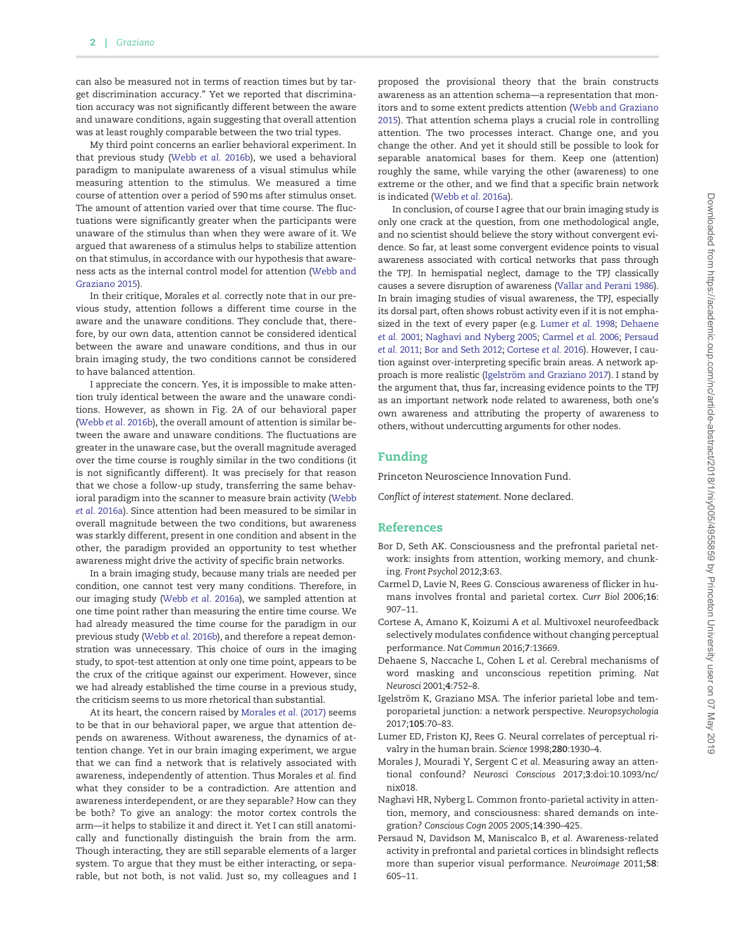<span id="page-1-0"></span>can also be measured not in terms of reaction times but by target discrimination accuracy." Yet we reported that discrimination accuracy was not significantly different between the aware and unaware conditions, again suggesting that overall attention was at least roughly comparable between the two trial types.

My third point concerns an earlier behavioral experiment. In that previous study (Webb et al. [2016b\)](#page-2-0), we used a behavioral paradigm to manipulate awareness of a visual stimulus while measuring attention to the stimulus. We measured a time course of attention over a period of 590 ms after stimulus onset. The amount of attention varied over that time course. The fluctuations were significantly greater when the participants were unaware of the stimulus than when they were aware of it. We argued that awareness of a stimulus helps to stabilize attention on that stimulus, in accordance with our hypothesis that awareness acts as the internal control model for attention ([Webb and](#page-2-0) [Graziano 2015\)](#page-2-0).

In their critique, Morales et al. correctly note that in our previous study, attention follows a different time course in the aware and the unaware conditions. They conclude that, therefore, by our own data, attention cannot be considered identical between the aware and unaware conditions, and thus in our brain imaging study, the two conditions cannot be considered to have balanced attention.

I appreciate the concern. Yes, it is impossible to make attention truly identical between the aware and the unaware conditions. However, as shown in Fig. 2A of our behavioral paper [\(Webb](#page-2-0) et al. 2016b), the overall amount of attention is similar between the aware and unaware conditions. The fluctuations are greater in the unaware case, but the overall magnitude averaged over the time course is roughly similar in the two conditions (it is not significantly different). It was precisely for that reason that we chose a follow-up study, transferring the same behavioral paradigm into the scanner to measure brain activity [\(Webb](#page-2-0) et al. [2016a\)](#page-2-0). Since attention had been measured to be similar in overall magnitude between the two conditions, but awareness was starkly different, present in one condition and absent in the other, the paradigm provided an opportunity to test whether awareness might drive the activity of specific brain networks.

In a brain imaging study, because many trials are needed per condition, one cannot test very many conditions. Therefore, in our imaging study (Webb et al. [2016a\)](#page-2-0), we sampled attention at one time point rather than measuring the entire time course. We had already measured the time course for the paradigm in our previous study [\(Webb](#page-2-0) et al. 2016b), and therefore a repeat demonstration was unnecessary. This choice of ours in the imaging study, to spot-test attention at only one time point, appears to be the crux of the critique against our experiment. However, since we had already established the time course in a previous study, the criticism seems to us more rhetorical than substantial.

At its heart, the concern raised by Morales et al. (2017) seems to be that in our behavioral paper, we argue that attention depends on awareness. Without awareness, the dynamics of attention change. Yet in our brain imaging experiment, we argue that we can find a network that is relatively associated with awareness, independently of attention. Thus Morales et al. find what they consider to be a contradiction. Are attention and awareness interdependent, or are they separable? How can they be both? To give an analogy: the motor cortex controls the arm—it helps to stabilize it and direct it. Yet I can still anatomically and functionally distinguish the brain from the arm. Though interacting, they are still separable elements of a larger system. To argue that they must be either interacting, or separable, but not both, is not valid. Just so, my colleagues and I proposed the provisional theory that the brain constructs awareness as an attention schema—a representation that monitors and to some extent predicts attention [\(Webb and Graziano](#page-2-0) [2015\)](#page-2-0). That attention schema plays a crucial role in controlling attention. The two processes interact. Change one, and you change the other. And yet it should still be possible to look for separable anatomical bases for them. Keep one (attention) roughly the same, while varying the other (awareness) to one extreme or the other, and we find that a specific brain network is indicated (Webb et al. [2016a](#page-2-0)).

In conclusion, of course I agree that our brain imaging study is only one crack at the question, from one methodological angle, and no scientist should believe the story without convergent evidence. So far, at least some convergent evidence points to visual awareness associated with cortical networks that pass through the TPJ. In hemispatial neglect, damage to the TPJ classically causes a severe disruption of awareness [\(Vallar and Perani 1986\)](#page-2-0). In brain imaging studies of visual awareness, the TPJ, especially its dorsal part, often shows robust activity even if it is not emphasized in the text of every paper (e.g. Lumer et al. 1998; Dehaene et al. 2001; Naghavi and Nyberg 2005; Carmel et al. 2006; Persaud et al. 2011; Bor and Seth 2012; Cortese et al. 2016). However, I caution against over-interpreting specific brain areas. A network approach is more realistic (Igelström and Graziano 2017). I stand by the argument that, thus far, increasing evidence points to the TPJ as an important network node related to awareness, both one's own awareness and attributing the property of awareness to others, without undercutting arguments for other nodes.

### Funding

Princeton Neuroscience Innovation Fund.

Conflict of interest statement. None declared.

#### **References**

- Bor D, Seth AK. Consciousness and the prefrontal parietal network: insights from attention, working memory, and chunking. Front Psychol 2012;3:63.
- Carmel D, Lavie N, Rees G. Conscious awareness of flicker in humans involves frontal and parietal cortex. Curr Biol 2006;16: 907–11.
- Cortese A, Amano K, Koizumi A et al. Multivoxel neurofeedback selectively modulates confidence without changing perceptual performance. Nat Commun 2016;7:13669.
- Dehaene S, Naccache L, Cohen L et al. Cerebral mechanisms of word masking and unconscious repetition priming. Nat Neurosci 2001;4:752–8.
- Igelström K, Graziano MSA. The inferior parietal lobe and temporoparietal junction: a network perspective. Neuropsychologia 2017;105:70–83.
- Lumer ED, Friston KJ, Rees G. Neural correlates of perceptual rivalry in the human brain. Science 1998;280:1930–4.
- Morales J, Mouradi Y, Sergent C et al. Measuring away an attentional confound? Neurosci Conscious 2017;3:doi:10.1093/nc/ nix018.
- Naghavi HR, Nyberg L. Common fronto-parietal activity in attention, memory, and consciousness: shared demands on integration? Conscious Cogn 2005 2005;14:390–425.
- Persaud N, Davidson M, Maniscalco B, et al. Awareness-related activity in prefrontal and parietal cortices in blindsight reflects more than superior visual performance. Neuroimage 2011;58: 605–11.